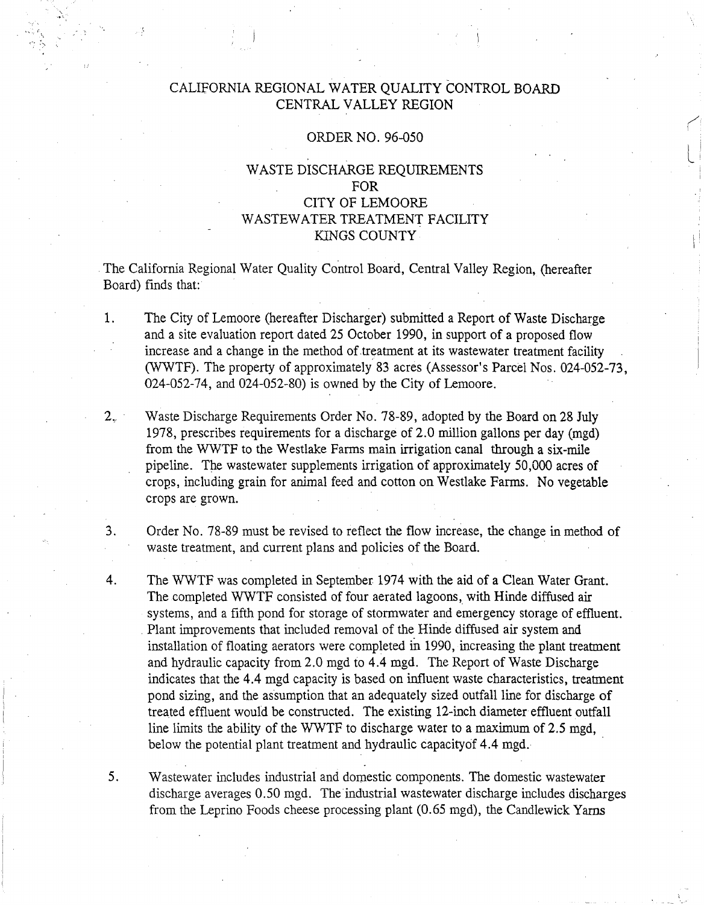# CALIFORNIA REGIONAL WATER QUALITY CONTROL BOARD CENTRAL VALLEY REGION

### ORDER NO. 96-050

# WASTE DISCHARGE REQUIREMENTS FOR CITY OF LEMOORE WASTEWATER TREATMENT FACILITY KINGS COUNTY

 $\ddagger$ 

. The California Regional Water Quality Control Board, Central Valley Region, (hereafter Board) finds that:

- 1. The City of Lemoore (hereafter Discharger) submitted a Report of Waste Discharge and a site evaluation report dated 25 October 1990, in support of a proposed flow increase and a change in the method of treatment at its wastewater treatment facility (\VWTF). The property of approximately 83 acres (Assessor's Parcel Nos. 024-052-73, 024-052-74, and 024-052-80) is owned by the City of Lemoore.
- 2. Waste Discharge Requirements Order No. 78-89, adopted by the Board on 28 July 1978, prescribes requirements for a discharge of 2.0 million gallons per day (mgd) from the WWTF to the Westlake Farms main irrigation canal through a six-mile pipeline. The wastewater supplements irrigation of approximately 50,000 acres of crops, including grain for animal feed and cotton on Westlake Farms. No vegetable crops are grown.

3. Order No. 78-89 must be revised to reflect the flow increase, the change in method of waste treatment, and current plans and policies of the Board.

4. The WWTF was completed in September 1974 with the aid of a Clean Water Grant. The completed WWTF consisted of four aerated lagoons, with Hinde diffused air systems, and a fifth pond for storage of stormwater and emergency storage of effluent. . Plant improvements that included removal of the Hinde diffused air system and installation of floating aerators were completed in 1990, increasing the plant treatment and hydraulic capacity from 2.0 mgd to 4.4 mgd. The Report of Waste Discharge indicates that the 4.4 mgd capacity is based on influent waste characteristics, treatment pond sizing, and the assumption that an adequately sized outfall line for discharge of treated effluent would be constructed. The existing 12-inch diameter effluent outfall line limits the ability of the WWTF to discharge water to a maximum of 2.5 mgd, below the potential plant treatment and hydraulic capacityof 4.4 mgd.

5. Wastewater includes industrial and domestic components. The domestic wastewater discharge averages 0.50 mgd. The industrial wastewater discharge includes discharges from the Leprino Foods cheese processing plant (0.65 mgd), the Candlewick Yarns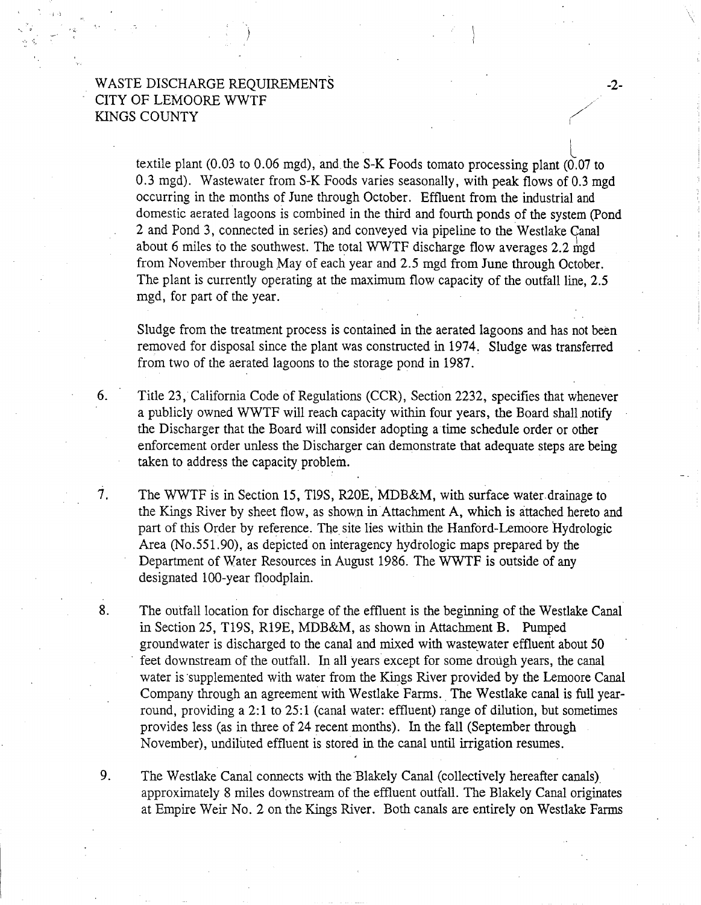textile plant (0.03 to 0.06 mgd), and the S-K Foods tomato processing plant (0.07 to 0.3 mgd). Wastewater from S-K Foods varies seasonally, with peak flows of 0.3 mgd occurring in the months of June through October. Effluent from the industrial and domestic aerated lagoons is combined in the third and fourth ponds of the system (Pond 2 and Pond 3, connected in series) and conveyed via pipeline to the Westlake Canal about 6 miles to the southwest. The total WWTF discharge flow averages 2.2  $mgd$ from November through May of each year and 2.5 mgd from June through October. The plant is currently operating at the maximum flow capacity of the outfall line, 2.5 mgd, for part of the year.

-2-

Sludge from the treatment process is contained in the aerated lagoons and has not been removed for disposal since the plant was constructed in 1974. Sludge was transferred from two of the aerated lagoons to the storage pond in 1987.

6. Title 23, California Code of Regulations (CCR), Section 2232, specifies that whenever a publicly owned WWTF will reach capacity within four years, the Board shall notify the Discharger that the Board will consider adopting a time schedule order or other enforcement order unless the Discharger can demonstrate that adequate steps are being taken to address the capacity problem.

7. The WWTF is in Section 15, Tl9S, R20E, MDB&M, with surface water-drainage to the Kings River by sheet flow, as shown in Attachment A, which is attached hereto and part of this Order by reference. The site lies within the Hanford-Lemoore Hydrologic Area (No.551.90), as depicted on interagency hydrologic maps prepared by the Department of Water Resources in August 1986. The WWTF is outside of any designated 100-year floodplain.

8. The outfall location for discharge of the effluent is the beginning of the Westlake Canal in Section 25, T19S, R19E, MDB&M, as shown in Attachment B. Pumped groundwater is discharged to the canal and mixed with waste\_water effluent about 50 feet downstream of the outfall. In all years except for some drough years, the canal water is supplemented with water from the Kings River provided by the Lemoore Canal Company through an agreement with Westlake Farms. The Westlake canal is full yearround, providing a 2:1 to 25:1 (canal water: effluent) range of dilution, but sometimes provides less (as in three of 24 recent months). In the fall (September through November), undiluted effluent is stored in the canal until irrigation resumes.

9. The Westlake Canal connects with the Blakely Canal (collectively hereafter canals) approximately 8 miles downstream of the effluent outfall. The Blakely Canal originates at Empire Weir No. 2 on the Kings River. Both canals are entirely on Westlake Farms

: ·l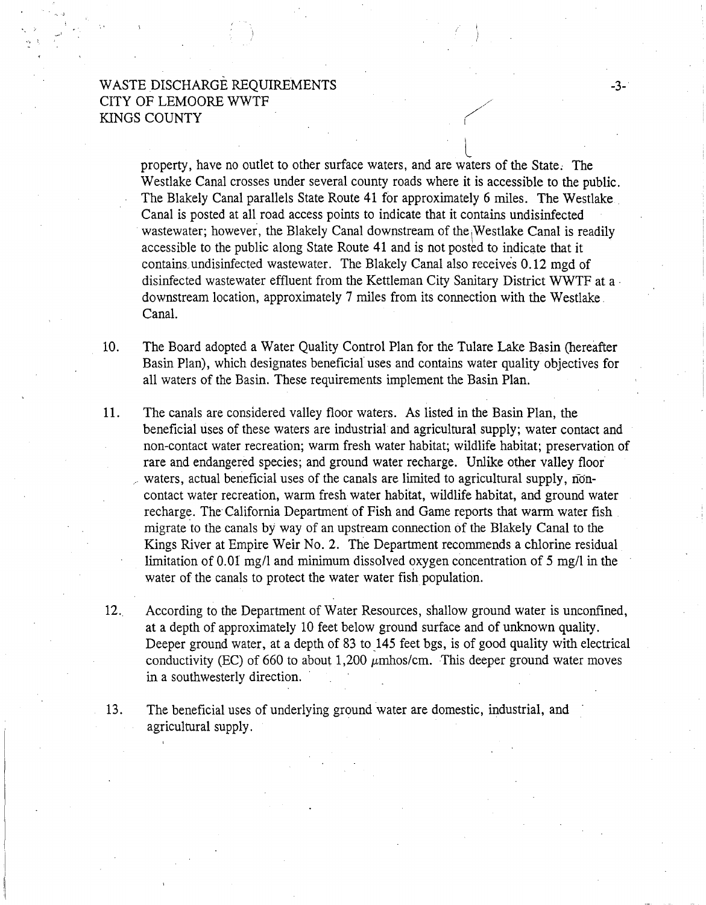$\bigcup$ property, have no outlet to other surface waters, and are waters of the State; The Westlake Canal crosses under several county roads where it is accessible to the public. The Blakely Canal parallels State Route 41 for approximately 6 miles. The Westlake . Canal is posted at all road access points to indicate that it contains undisinfected wastewater; however, the Blakely Canal downstream of the Westlake Canal is readily accessible to the public along State Route 41 and is not posted to indicate that it contains. undisinfected wastewater. The Blakely Canal also receives 0.12 mgd of disinfected wastewater effluent from the Kettleman City Sanitary District WWTF at a . downstream location, approximately 7 miles from its connection with the Westlake . Canal.

-3-

10. The Board adopted a Water Quality Control Plan for the Tulare Lake Basin (hereafter Basin Plan), which designates beneficial uses and contains water quality objectives for all waters of the Basin. These requirements implement the Basin Plan.

- 11. The canals are considered valley floor waters. As listed in the Basin Plan, the beneficial uses of these waters are industrial and agricultural supply; water contact and non-contact water recreation; warm fresh water habitat; wildlife habitat; preservation of rare and endangered species; and ground water recharge. Unlike other valley floor waters, actual beneficial uses of the canals are limited to agricultural supply, noncontact water recreation, warm fresh water habitat, wildlife habitat, and ground water recharge. The California Department of Fish and Game reports that warm water fish migrate to the canals by way of an upstream connection of the Blakely Canal to the Kings River at Empire Weir No. 2. The Department recommends a chlorine residual limitation of 0.01 mg/1 and minimum dissolved oxygen concentration of 5 mg/1 in the water of the canals to protect the water water fish population.
- 12.. According to the Department of Water Resources, shallow ground water is unconfined, at a depth of approximately 10 feet below ground surface and of unknown quality. Deeper ground water, at a depth of 83 to 145 feet bgs, is of good quality with electrical conductivity (EC) of 660 to about 1,200  $\mu$ mhos/cm. This deeper ground water moves in a southwesterly direction.
- 13. The beneficial uses of underlying ground water are domestic, industrial, and agricultural supply.

. ·.·J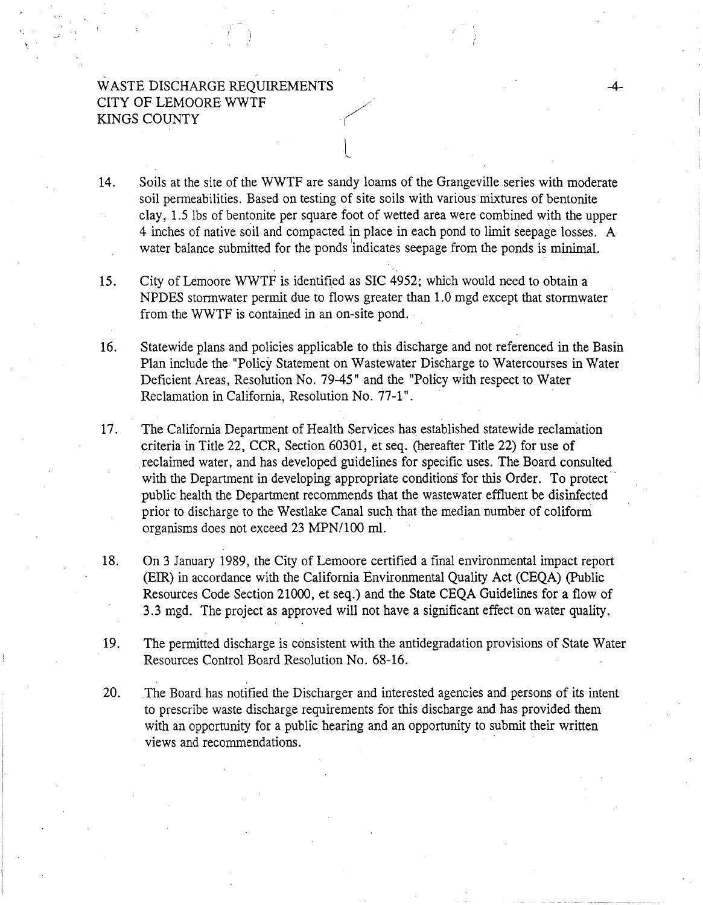14. Soils at the site of the WWTF are sandy loams of the Grangeville series with moderate soil permeabilities. Based on testing of site soils with various mixtures of bentonite clay, 1.5 lbs of bentonite per square foot of wetted area were combined with the upper 4 inches of native soil and compacted in place in each pond to limit seepage losses. A water balance submitted for the ponds indicates seepage from the ponds is minimal.

L

-4-

15. City of Lemoore WWTF is identified as SIC 4952; which would need to obtain a NPDES stormwater permit due to flows greater than 1.0 mgd except that stormwater from the WWTF is contained in an on-site pond.

16. Statewide plans and policies applicable to this discharge and not referenced in the Basih Plan include the "Policy Statement on Wastewater Discharge to Watercourses in Water Deficient Areas, Resolution No. 79-45" and the "Policy with respect to Water Reclamation in California, Resolution No. 77-1".

17. The California Department of Health Services has established statewide reclamation criteria in Title 22, CCR, Section 60301, et seq. (hereafter Title 22) for use of reclaimed water, and has developed guidelines for specific uses. The Board consulted with the Department in developing appropriate conditions for this Order. To protect public health the Department recommends that the wastewater effluent be disinfected prior to discharge to the Westlake Canal such that the median number of colifomi organisms does not exceed 23 MPN/100 ml.

18. On 3 January 1989, the City of Lemoore certified a final environmental impact report (EIR) in accordance with the California Environmental Quality Act (CEQA) (Public Resources Code Section 21000, et seq.) and the State CEQA Guidelines for a flow of 3.3 mgd. The project as approved will not have a significant effect on water quality.

19. The permitted discharge is consistent with the antidegradation provisions of State Water Resources Control Board Resolution No. 68-16.

20. The Board has notified the Discharger and interested agencies and persons of its intent to prescribe waste discharge requirements for this discharge and has provided them with an opportunity for a public hearing and an opportunity to submit their written views and recommendations.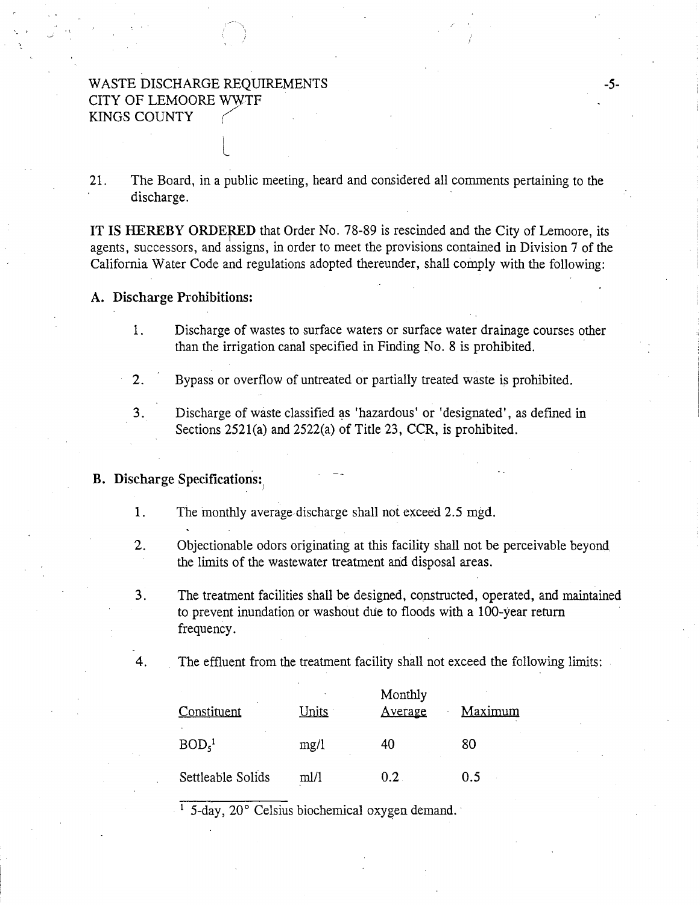L

21. The Board, in a public meeting, heard and considered all comments pertaining to the discharge.

IT IS HEREBY ORDERED that Order No. 78-89 is rescinded and the City of Lemoore, its <sup>I</sup> agents, successors, and assigns, in order to meet the provisions contained in Division 7 of the California Water Code and regulations adopted thereunder, shall comply with the following:

#### A. Discharge Prohibitions:

1. Discharge of wastes to surface waters or surface water drainage courses other than the irrigation canal specified in Finding No. 8 is prohibited.

2. Bypass or overflow of untreated or partially treated waste is prohibited.

3. Discharge of waste classified as 'hazardous' or 'designated', as defined in Sections 2521(a) and 2522(a) of Title 23, CCR, is prohibited.

### B. Discharge Specifications:

- 1. The monthly average discharge shall not exceed 2.5 mgd.
- 2. Objectionable odors originating at this facility shall not be perceivable beyond the limits of the wastewater treatment and disposal areas.
- 3. The treatment facilities shall be designed, constructed, operated, and maintained to prevent inundation or washout due to floods with a 100-year return frequency.

4. The effluent from the treatment facility shall not exceed the following limits:

| Constituent                   | Units | Monthly<br>Average | Maximum |
|-------------------------------|-------|--------------------|---------|
| BOD <sub>5</sub> <sup>1</sup> | mg/1  | 40                 | 80      |
| Settleable Solids             | m1/1  | 0.2                | ი ร     |

<sup>1</sup> 5-day, 20° Celsius biochemical oxygen demand.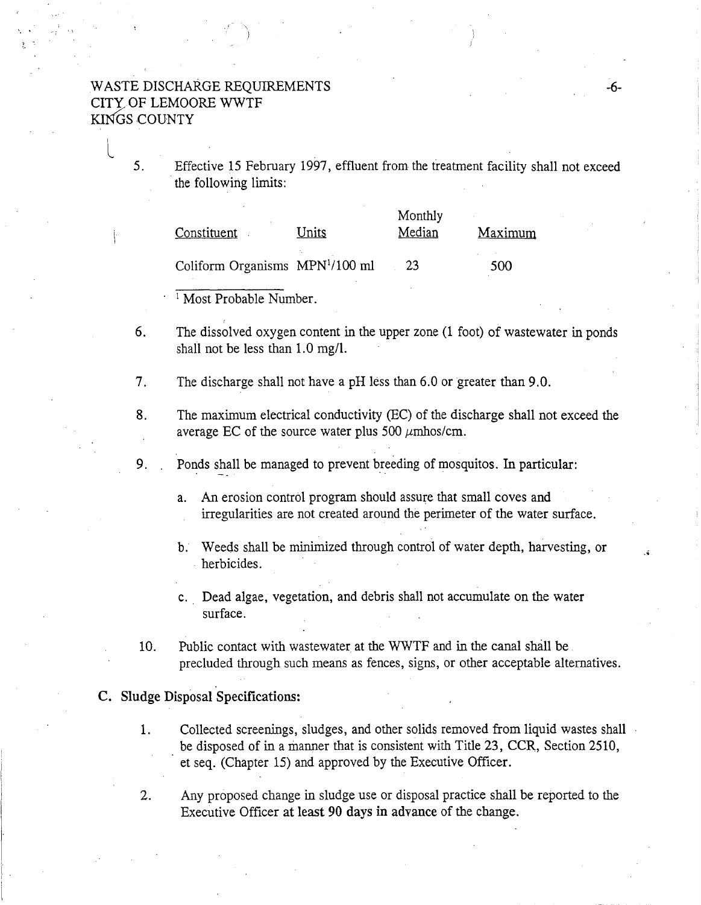L

5. Effective 15 February 1997, effluent from the treatment facility shall not exceed the following limits:

| Constituent                                 | Units | Monthly<br>Median | Maximum |
|---------------------------------------------|-------|-------------------|---------|
| Coliform Organisms MPN <sup>1</sup> /100 ml |       | 23                | 500     |

Most Probable Number.

6. The dissolved oxygen content in the upper zone (1 foot) of wastewater in ponds shall not be less than 1.0 mg/l.

7. The discharge shall not have a pH less than 6.0 or greater than 9.0.

8. The maximum electrical conductivity (EC) of the discharge shall not exceed the average EC of the source water plus 500  $\mu$ mhos/cm.

9. . . . Ponds shall be managed to prevent breeding of mosquitos. In particular:

- a. An erosion control program should assure that small coves and irregularities are not created around the perimeter of the water surface.
- b. Weeds shall be minimized through control of water depth, harvesting, or herbicides.
- c. Dead algae, vegetation, and debris shall not accumulate on the water surface.
- 10. Public contact with wastewater at the WWTF and in the canal shall be precluded through such means as fences, signs, or other acceptable alternatives.

### C. Sludge Disposal Specifications:

- 1. Collected screenings, sludges, and other solids removed from liquid wastes shall be disposed of in a manner that is consistent with Title 23, CCR, Section 2510, et seq. (Chapter 15) and approved by the Executive Officer.
- 2. Any proposed change in sludge use or disposal practice shall be reported to the Executive Officer at least 90 days in advance of the change.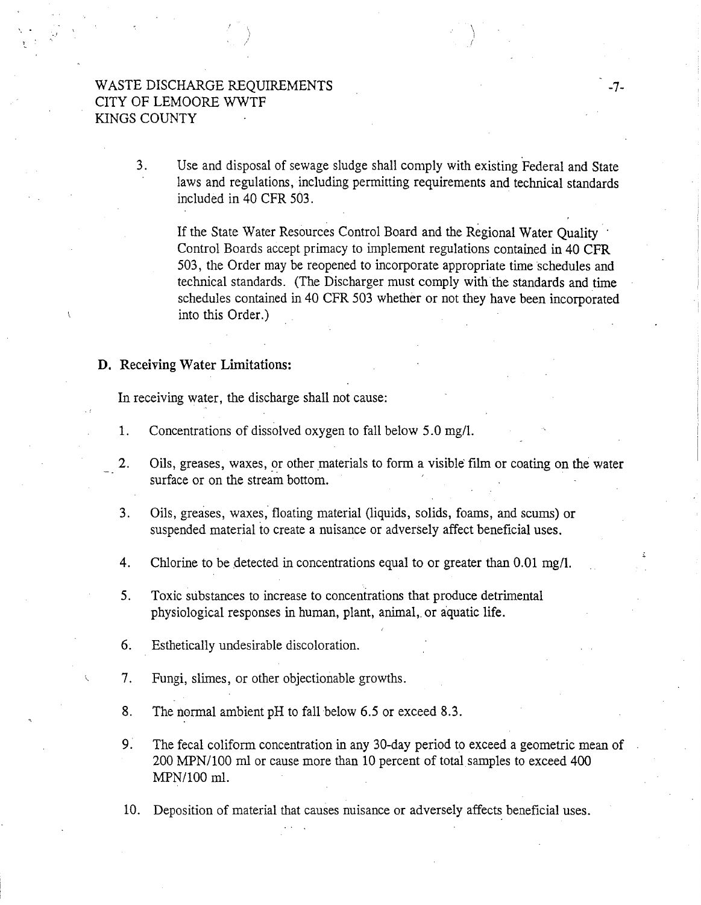\ )

3. Use and disposal of sewage sludge shall comply with existing Federal and State laws and regulations, including permitting requirements and technical standards included in 40 CFR 503.

If the State Water Resources Control Board and the Regional Water Quality Control Boards accept primacy to implement regulations contained in 40 CFR 503, the Order may be reopened to incorporate appropriate time schedules and technical standards. (The Discharger must comply with the standards and time schedules contained in 40 CFR 503 whether or not they have been incorporated into this Order.)

 $\sum_{i=1}^{n}$ /

### D. Receiving Water Limitations:

In receiving water, the discharge shall not cause:

- 1. Concentrations of dissolved oxygen to fall below 5. 0 mg/1.
- 2. Oils, greases, waxes, or other materials to form a visible film or coating on the water surface or on the stream bottom.
- 3. Oils, greases, waxes; floating material (liquids, solids, foams, and scums) or suspended material to create a nuisance or adversely affect beneficial uses.
- 4. Chlorine to be detected in concentrations equal to or greater than 0.01 mg/l.
- 5. Toxic substances to increase to concentrations that produce detrimental physiological responses in human, plant, animal, or aquatic life.
- 6. Esthetically undesirable discoloration.
- 7. Fungi, slimes, or other objectionable growths.
- 8. The normal ambient pH to fall below 6.5 or exceed 8.3.
- 9: The fecal coliform concentration in any 30-day period to exceed a geometric mean of 200 MPN/100 ml or cause more than 10 percent of total samples to exceed 400 MPN/100 ml.

10. Deposition of material that causes nuisance or adversely affects beneficial uses.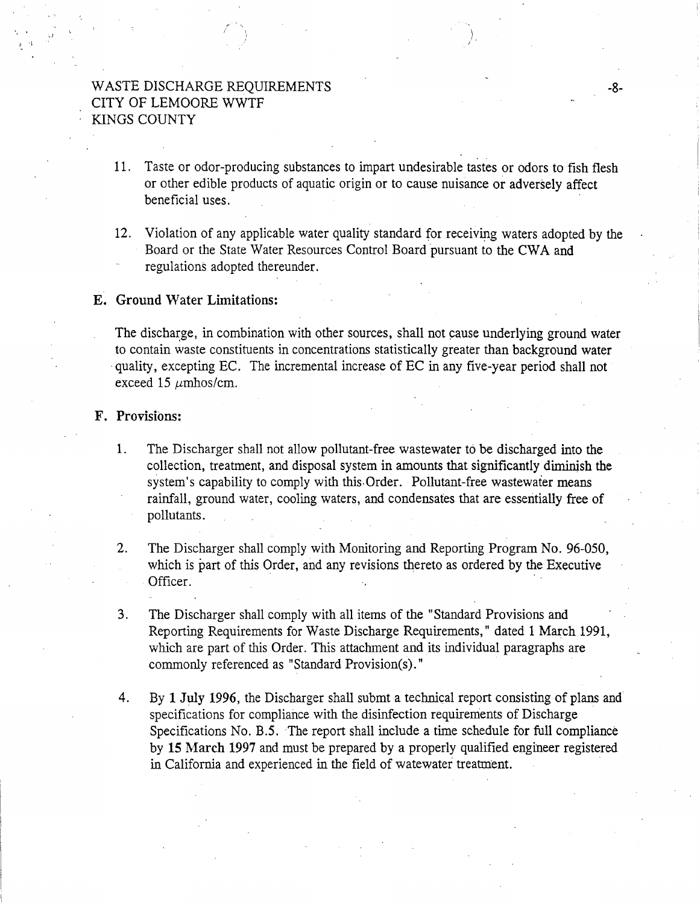11. Taste or odor-producing substances to impart undesirable tastes or odors to fish flesh or other edible products of aquatic origin or to cause nuisance or adversely affect beneficial uses.

)

12. Violation of any applicable water quality standard for receiving waters adopted by the Board or the State Water Resources Control Board pursuant to the CWA and regulations adopted thereunder.

### E. Ground Water Limitations:

The discharge, in combination with other sources, shall not cause underlying ground water to contain waste constituents in concentrations statistically greater than background water ·quality, excepting EC. The incremental increase of EC in any five-year period shall not exceed 15  $\mu$ mhos/cm.

### F. Provisions:

.)

:- 'i

1. The Discharger shall not allow pollutant-free wastewater to be discharged into the collection, treatment, and disposal system in amounts that significantly diminish the system's capability to comply with this.Order. Pollutant-free wastewater means rainfall, ground water, cooling waters, and condensates that are essentially free of pollutants.

2. The Discharger shall comply with Monitoring and Reporting Program No. 96-050, which is part of this Order, and any revisions thereto as ordered by the Executive Officer.

- 3. The Discharger shall comply with all items of the "Standard Provisions and Reporting Requirements for Waste Discharge Requirements," dated 1 March 1991, which are part of this Order. This attachment and its individual paragraphs are commonly referenced as "Standard Provision(s)."
- 4. By 1 July 1996, the Discharger shall submt a technical report consisting of plans and specifications for compliance with the disinfection requirements of Discharge Specifications No. *B.S.* The report shall include a time schedule for full compliance by 15 March 1997 and must be prepared by a properly qualified engineer registered in California and experienced in the field of watewater treatment.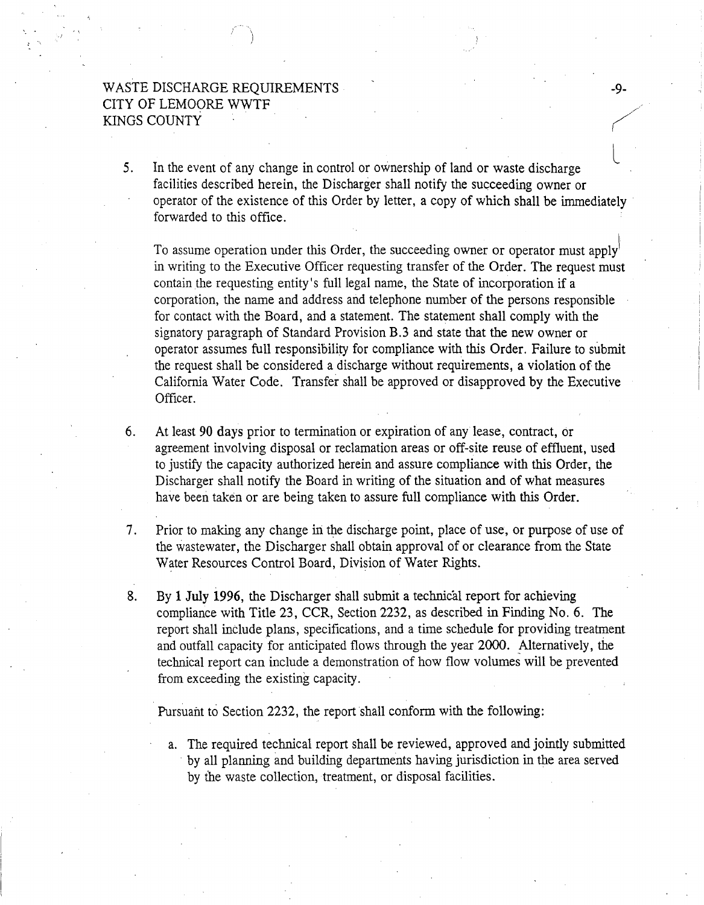L 5. In the event of any change in control or ownership of land or waste discharge facilities described herein, the Discharger shall notify the succeeding owner or operator of the existence of this Order by letter, a copy of which shall be immediately forwarded to this office.

To assume operation under this Order, the succeeding owner or operator must apply in writing to the Executive Officer requesting transfer of the Order. The request must contain the requesting entity's full legal name, the State of incorporation if a corporation, the name and address and telephone number of the persons responsible for contact with the Board, and a statement. The statement shall comply with the signatory paragraph of Standard Provision B.3 and state that the new owner or operator assumes full responsibility for compliance with this Order. Failure to submit the request shall be considered a discharge without requirements, a violation of the California Water Code. Transfer shall be approved or disapproved by the Executive Officer.

- 6. At least 90 days prior to termination or expiration of any lease, contract, or agreement involving disposal or reclamation areas or off-site reuse of effluent, used to justify the capacity authorized herein and assure compliance with this Order, the Discharger shall notify the Board in writing of the situation and of what measures have been taken or are being taken to assure full compliance with this Order.
- 7. Prior to making any change in the discharge point, place of use, or purpose of use of the wastewater, the Discharger shall obtain approval of or clearance from the State Water Resources Control Board, Division of Water Rights.
- 8. By 1 July 1996, the Discharger shall submit a technical report for achieving compliance with Title 23, CCR, Section 2232, as described in Finding No. 6. The report shall include plans, specifications, and a time schedule for providing treatment and outfall capacity for anticipated flows through the year 2000. Alternatively, the technical report can include a demonstration of how flow volumes will be prevented from exceeding the existing capacity.

Pursuant to Section 2232, the report shall conform with the following:

a. The required technical report shall be reviewed, approved and jointly submitted . by all planning and building departments having jurisdiction in the area served by the waste collection, treatment, or disposal facilities.

-9-

*('/*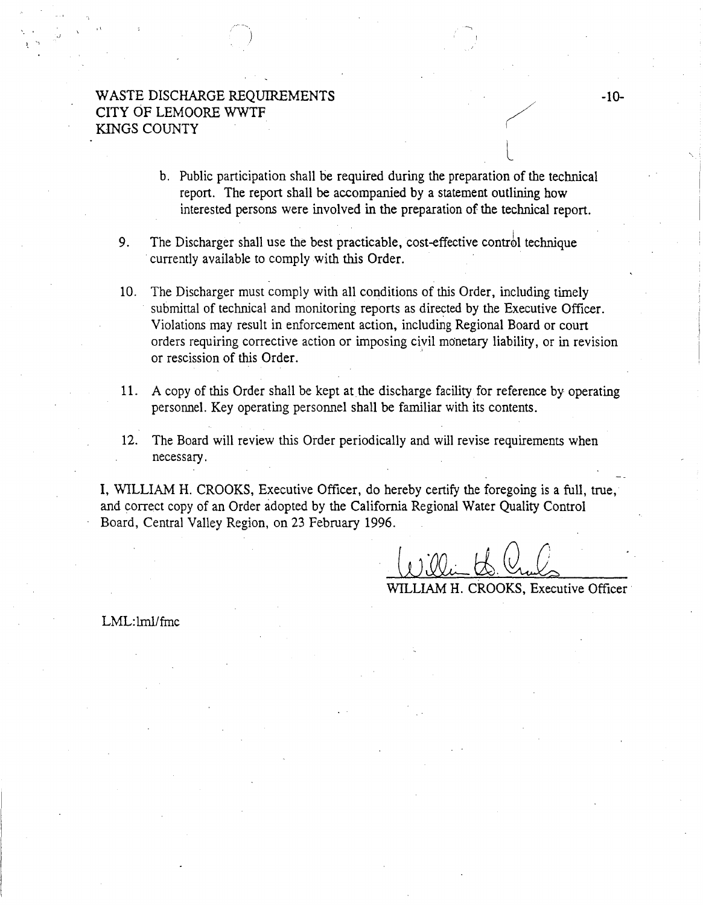.)

- b. Public participation shall be required during the preparation of the technical report. The report shall be accompanied by a statement outlining how interested persons were involved in the preparation of the technical report.
- 9. The Discharger shall use the best practicable, cost-effective control technique currently available to comply with this Order.
- 10. The Discharger must comply with all conditions of this Order, including timely submittal of technical and monitoring reports as directed by the Executive Officer. Violations may result in enforcement action, including Regional Board or court orders requiring corrective action or imposing civil monetary liability, or in revision or rescission of this Order.
- 11. A copy of this Order shall be kept at the discharge facility for reference by operating. personnel. Key operating personnel shall be familiar with its contents.
- 12. The Board will review this Order periodically and will revise requirements when necessary.

I, WILLIAM H. CROOKS, Executive Officer, do hereby certify the foregoing is a full, true, and correct copy of an Order adopted by the California Regional Water Quality Control Board, Central Valley Region, on 23 February 1996.

WlLLIAM H. CROOKS, Executive Officer

LML:lml/fmc

~-··

L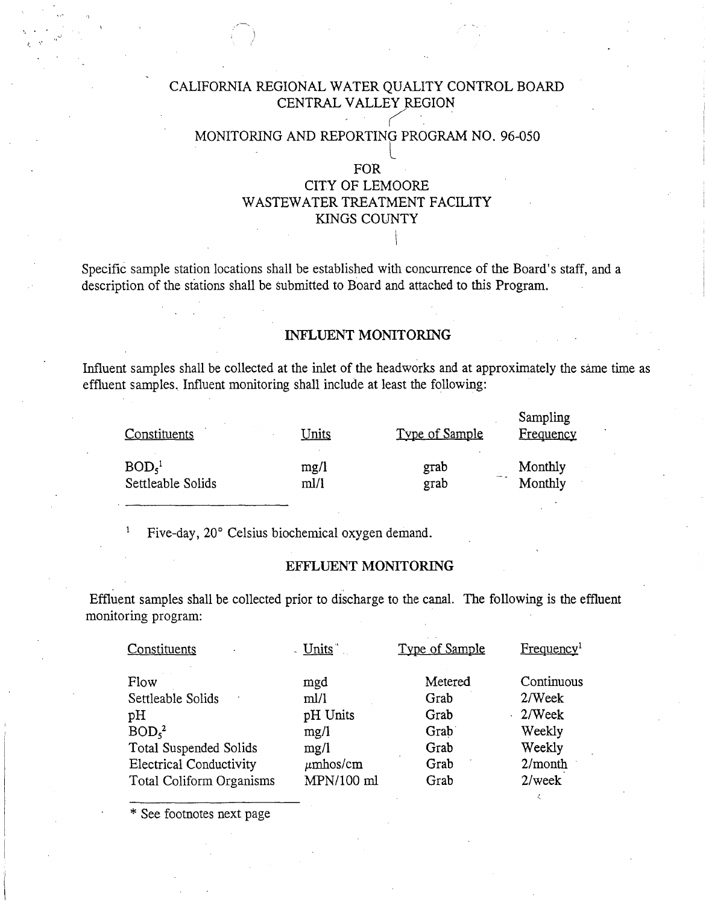# CALIFORNIA REGIONAL WATER QUALITY CONTROL BOARD CENTRAL VALLEY REGION

# $\sim$ MONITORING AND REPORTING PROGRAM NO. 96-050

# FOR CITY OF LEMOORE WASTEWATER TREATMENT FACILITY KINGS COUNTY

I·

Specific sample station locations shall be established with concurrence of the Board's staff, and a description of the stations shall be submitted to Board and attached to this Program.

### INFLUENT MONITORING

Influent samples shall be collected at the inlet of the head works and at approximately the same time as effluent samples. Influent monitoring shall include at least the following:

| Constituents      | <u>Units</u> | Type of Sample | Sampling<br>Frequency |
|-------------------|--------------|----------------|-----------------------|
| BOD <sub>5</sub>  | mg/l         | grab           | Monthly               |
| Settleable Solids | ml/1         | grab           | Monthly               |

Five-day, 20° Celsius biochemical oxygen demand. 1

### EFFLUENT MONITORING

Effluent samples shall be collected prior to discharge to the canal. The following is the effluent monitoring program:

| Constituents                   | - Units       | Type of Sample | Frequency <sup>1</sup> |
|--------------------------------|---------------|----------------|------------------------|
| Flow                           | mgd           | Metered        | Continuous             |
| Settleable Solids              | ml/l          | Grab           | 2/Week                 |
| pH                             | pH Units      | Grab           | $2$ /Week              |
| BOD <sub>5</sub> <sup>2</sup>  | mg/l          | Grab           | Weekly                 |
| Total Suspended Solids         | mg/1          | Grab           | Weekly                 |
| <b>Electrical Conductivity</b> | $\mu$ mhos/cm | Grab           | 2/month                |
| Total Coliform Organisms       | MPN/100 ml    | Grab           | $2$ /wee $k$           |

\* See footnotes next page

 $\mathbf{v} \leftarrow \mathbf{v}$  ,  $\mathbf{v} \leftarrow \mathbf{v}$  ,  $\mathbf{v} \leftarrow \mathbf{v}$  ,  $\mathbf{v} \leftarrow \mathbf{v}$ 

 $\left| \right|$ */*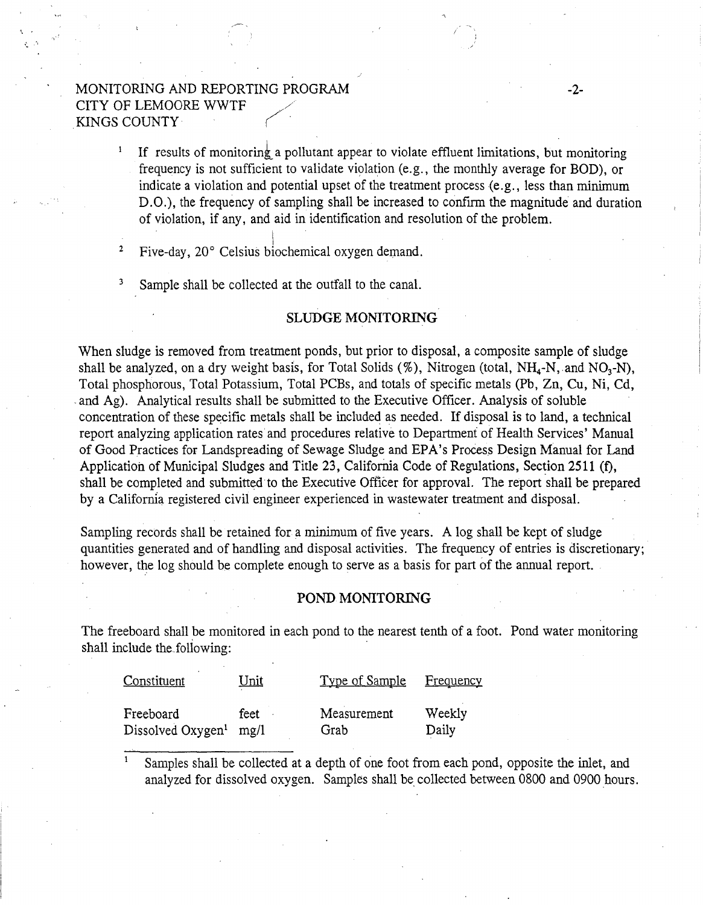# MONITORING AND REPORTING PROGRAM  $-2$ -CITY OF LEMOORE WWTF KINGS COUNTY· *(".*

- $\pmb{1}$ If results of monitoring a pollutant appear to violate effluent limitations, but monitoring frequency is not sufficient to validate violation (e.g., the monthly average for BOD), or indicate a violation and potential upset of the treatment process (e.g., less than minimum D.O.), the frequency of sampling shall be increased to confirm the magnitude and duration of violation, if any, and aid in identification and resolution of the problem.
- 2 I Five-day, 20° Celsius biochemical oxygen demand.
- 3 Sample shall be collected at the outfall to the canal.

### SLUDGE MONITORING

When sludge is removed from treatment ponds, but prior to disposal, a composite sample of sludge shall be analyzed, on a dry weight basis, for Total Solids (%), Nitrogen (total, NH<sub>4</sub>-N, and NO<sub>3</sub>-N), Total phosphorous, Total Potassium, Total PCBs, and totals of specific metals (Pb, Zn, Cu, Ni, Cd, and Ag). Analytical results shall be submitted to the Executive Officer. Analysis of soluble concentration of these specific metals shall be included as needed. If disposal is to land, a technical report analyzing application rates and procedures relative to Department of Health Services' Manual of Good Practices for Landspreading of Sewage Sludge and EPA's Process Design Manual for Land Application of Municipal Sludges and Title 23, California Code of Regulations, Section 2511 (f), shall be completed and submitted to the Executive Officer for approval. The report shall be prepared by a California registered civil engineer experienced in wastewater treatment and disposal.

Sampling records shall be retained for a minimum of five years. A log shall be kept of sludge quantities generated and of handling and disposal activities. The frequency of entries is discretionary; however, the log should be complete enough to serve as a basis for part of the annual report.

### POND MONITORING

The freeboard shall be monitored in each pond to the nearest tenth of a foot. Pond water monitoring shall include the following:

| Constituent              | <u>Unit</u> | Type of Sample | <u>Frequency</u> |
|--------------------------|-------------|----------------|------------------|
| Freeboard                | feet ·      | Measurement    | Weekly           |
| Dissolved $Oxygen1$ mg/l |             | Grab           | Daily            |

Samples shall be collected at a depth of one foot from each pond, opposite the inlet, and analyzed for dissolved oxygen. Samples shall be collected between 0800 and 0900 hours.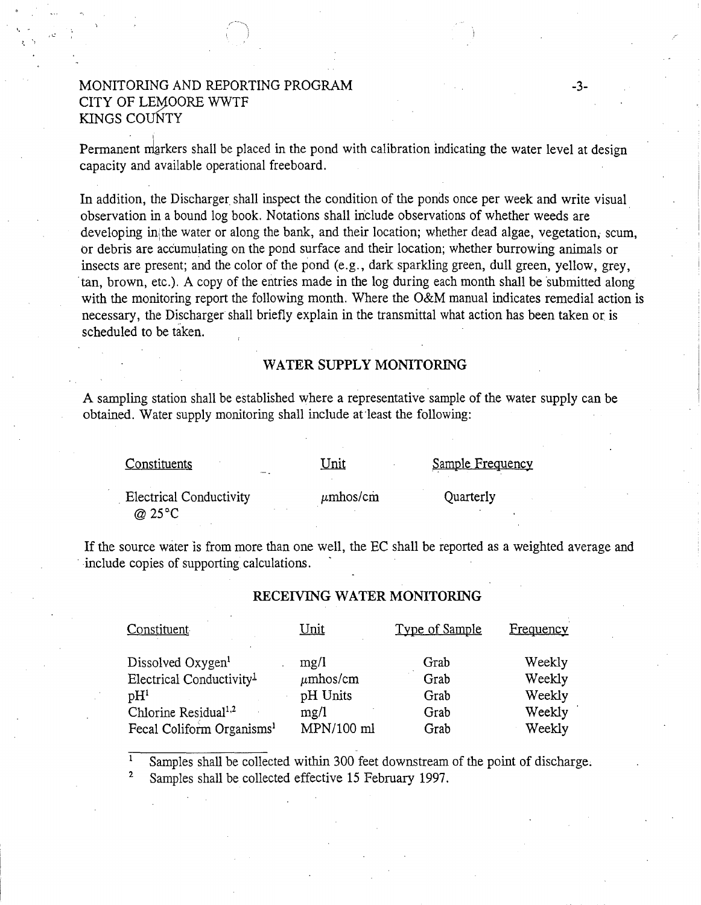# MONITORING AND REPORTING PROGRAM CITY OF LEMOORE WWTF KINGS COuNTY

.. "

Permanent markers shall be placed in the pond with calibration indicating the water level at design capacity and available operational freeboard.

-3-

In addition, the Discharger shall inspect the condition of the ponds once per week and write visual. observation in a bound log book. Notations shall indude observations of whether weeds are developing in the water or along the bank, and their location; whether dead algae, vegetation, scum, or debris are accumulating on the pond surface and their location; whether burrowing animals or insects are present; and the color of the pond (e.g., dark sparkling green, dull green, yellow, grey. tan, brown, etc.). A copy of the entries made in the log during each month shall be submitted along with the monitoring report the following month. Where the O&M manual indicates remedial action is necessary, the Discharger shall briefly explain in the transmittal what action has been taken or is scheduled to be taken.

### WATER SUPPLY MONITORING

A sampling station shall be established where a representative sample of the water supply can be obtained. Water supply monitoring shall include at·least the following:

| Constituents                                       | Unit          | Sample Frequency |
|----------------------------------------------------|---------------|------------------|
| <b>Electrical Conductivity</b><br>@ $25^{\circ}$ C | $\mu$ mhos/cm | Quarterly        |

If the source water is from more than one well, the EC shall be reported as a weighted average and include copies of supporting calculations.

### RECEIVING WATER MONITORING

| Constituent                           | Unit          | Type of Sample | Frequency |
|---------------------------------------|---------------|----------------|-----------|
| Dissolved Oxygen <sup>1</sup>         | mg/l          | Grab           | Weekly    |
| Electrical Conductivity <sup>1</sup>  | $\mu$ mhos/cm | Grab           | Weekly    |
| $\mathrm{pH}^1$                       | pH Units      | Grab           | Weekly    |
| Chlorine Residual <sup>1,2</sup>      | mg/l          | Grab           | Weekly    |
| Fecal Coliform Organisms <sup>1</sup> | MPN/100 ml    | Grab           | Weekly    |

2 Samples shall be collected within 300 feet downstream of the point of discharge; Samples shall be collected effective 15 February 1997.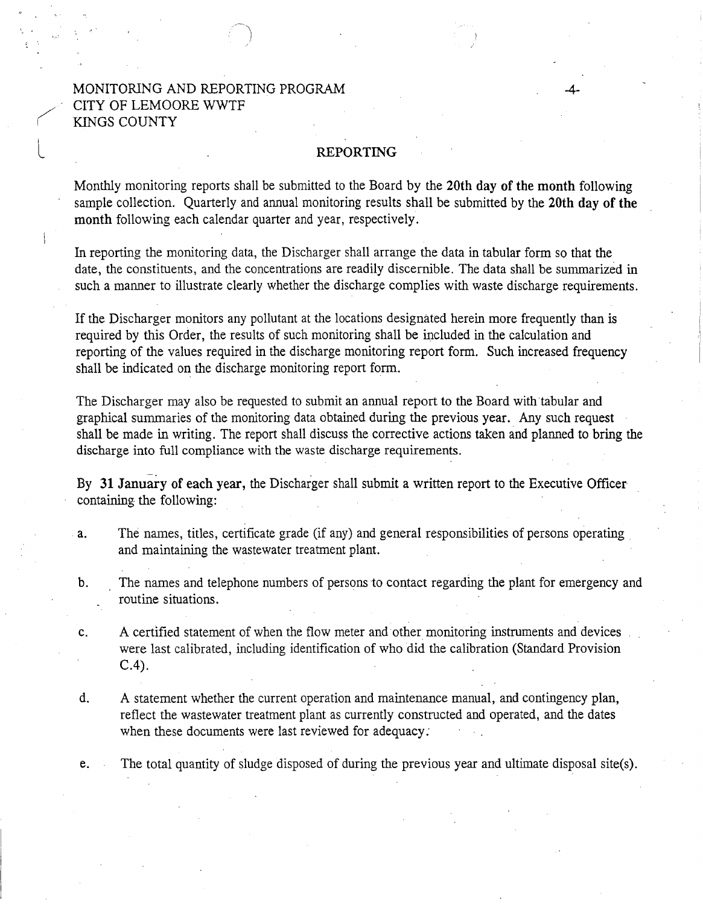# MONITORlNG AND REPORTING PROGRAM CITY OF LEMOORE WWTF KINGS COUNTY

 $\bigg($ 

L

### REPORTING

-4-

Monthly monitoring reports shall be submitted to the Board by the 20th day of the month following sample collection. Quarterly and annual monitoring results shall be submitted by the 20th day of the month following each calendar quarter and year, respectively.

In reporting the monitoring data, the Discharger shall arrange the data in tabular form so that the date, the constituents, and the concentrations are readily discernible. The data shall be summarized in such a manner to illustrate clearly whether the discharge complies with waste discharge requirements.

If the Discharger monitors any pollutant at the locations designated herein more frequently than is required by this Order, the results of such monitoring shall be included in the calculation and reporting of the values required in the discharge monitoring report form. Such increased frequency shall be indicated on the discharge monitoring report form.

The Discharger may also be requested to submit an annual report to the Board with tabular and graphical summaries of the monitoring data obtained during the previous year. Any such request shall be made in writing. The report shall discuss the corrective actions taken and planned to bring the discharge into full compliance with the waste discharge requirements.

-- . By 31 January of each year, the Discharger shall submit a written report to the Executive Officer containing the following:

- a. The names, titles, certificate grade (if any) and general responsibilities of persons operating and maintaining the wastewater treatment plant.
- b. The names and telephone numbers of persons to contact regarding the plant for emergency and routine situations.
- c. A certified statement of when the flow meter and other monitoring instruments and devices were last calibrated, including identification of who did the calibration (Standard Provision C.4).
- d. A statement whether the current operation and maintenance manual, and contingency plan, reflect the wastewater treatment plant as currently constructed and operated, and the dates when these documents were last reviewed for adequacy:

e. The total quantity of sludge disposed of during the previous year and ultimate disposal site(s).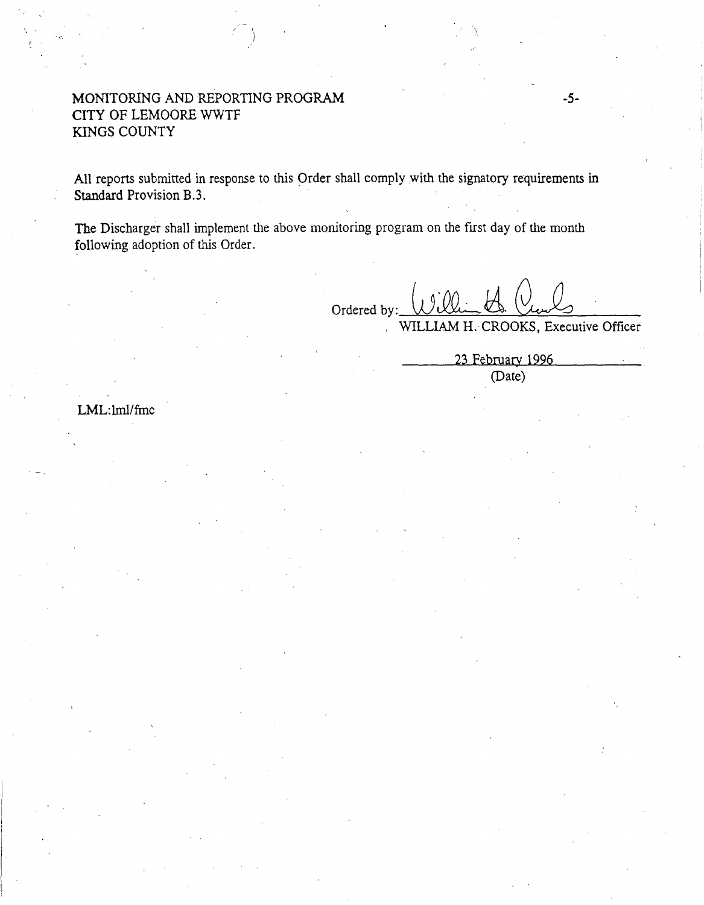# MONITORING AND REPORTING PROGRAM CITY OF LEMOORE WWTF KINGS COUNTY

All reports submitted in response to this Order shall comply with the signatory requirements in Standard Provision B.3.

The Discharger shall implement the above monitoring program on the first day of the month following adoption of this Order.

Ordered by: William H. CROOKS, Executive Officer

23 February 1996 (Date)

LML:lml/frnc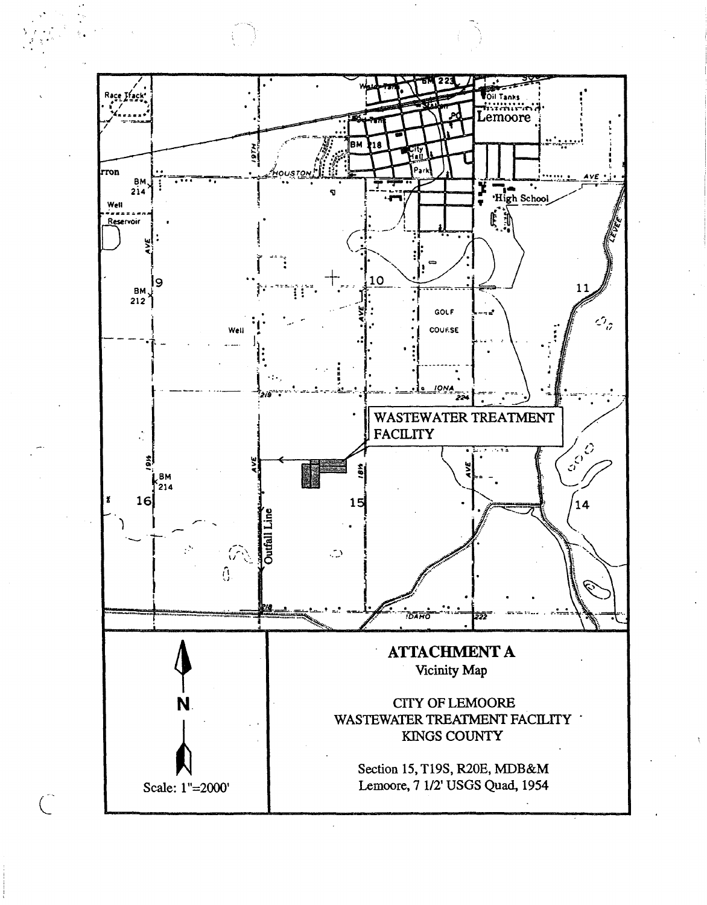

 $\mathbf{z}$   $\mathbf{1}$   $\mathbf{e}$   $\mathbf{1}$  $\cdot$   $\cdot$   $\cdot$   $\cdot$ 

 $\int_0^{\frac{1}{2}}$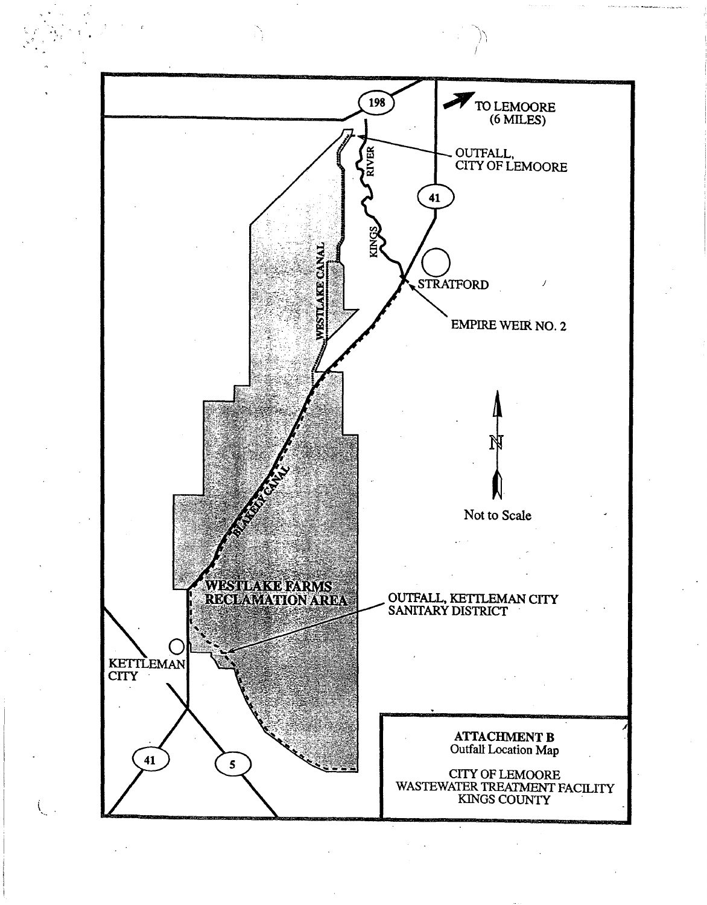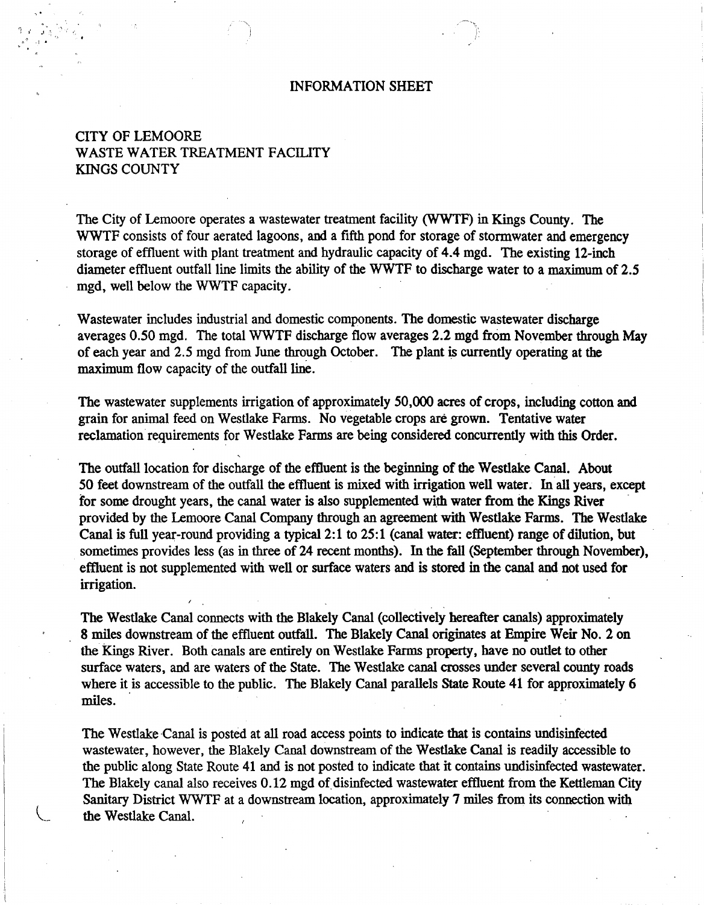### INFORMATION SHEET

# CITY OF LEMOORE WASTE WATER TREATMENT FACILITY KINGS COUNTY

.,.  $1$  if  $\cdots$  ,  $\cdots$  ,  $\cdots$ *h.* ·1.

> The City of Lemoore operates a wastewater treatment facility (WWTF) in Kings County. The WWTF consists of four aerated lagoons, and a fifth pond for storage of stormwater and emergency storage of effluent with plant treatment and hydraulic capacity of 4.4 mgd. The existing 12-inch diameter effluent outfall line limits the ability of the WWTF to discharge water to a maximum of 2.5 mgd, well below the WWTF capacity.

Wastewater includes industrial and domestic components. The domestic wastewater discharge averages 0.50 mgd. The total WWTF discharge flow averages 2.2 mgd from November through May of each year and 2.5 mgd from June through October. The plant is currently operating at the maximum flow capacity of the outfall line.

The wastewater supplements irrigation of approximately 50,000 acres of crops, including cotton and grain for animal feed on Westlake Farms. No vegetable crops are grown. Tentative water reclamation requirements for Westlake Farms are being considered concurrently with this Order.

The outfall location for discharge of the effluent is the beginning of the Westlake Canal. About *50* feet downstream of the outfall the effluent is mixed with irrigation well water. In. all years, except for some drought years, the canal water is also supplemented with water from the Kings River provided by the Lemoore Canal Company through an agreement with Westlake Farms. The Westlake Canal is full year-round providing a typica12:1 to 25:1 (canal water: effluent) range of dilution, but sometimes provides less (as in three of 24 recent months). In the fall (September through November), effiuent is not supplemented with well or surface waters and is stored in the canal and not used for irrigation.

The Westlake Canal connects with the Blakely Canal (collectively hereafter canals) approximately 8 miles downstream of the effluent outfall. The Blakely Canal originates at Empire Weir No.2 on the kings River. Both canals are entirely on Westlake Farms property, have no outlet to other surface waters, and are waters of the State. The Westlake canal crosses under several county roads where it is accessible to the public. The Blakely Canal parallels State Route 41 for approximately 6 miles.

The Westlake Canal is posted at all road access points to indicate that is contains undisinfected wastewater, however, the Blakely Canal downstream of the Westlake Canal is readily accessible to the public along State Route 41 and is not posted to indicate that it contains undisinfected wastewater. The Blakely canal also receives 0.12 mgd of disinfected wastewater effluent from the Kettleman City Sanitary District WWTF at a downstream location, approximately 7 miles from its connection with the Westlake Canal.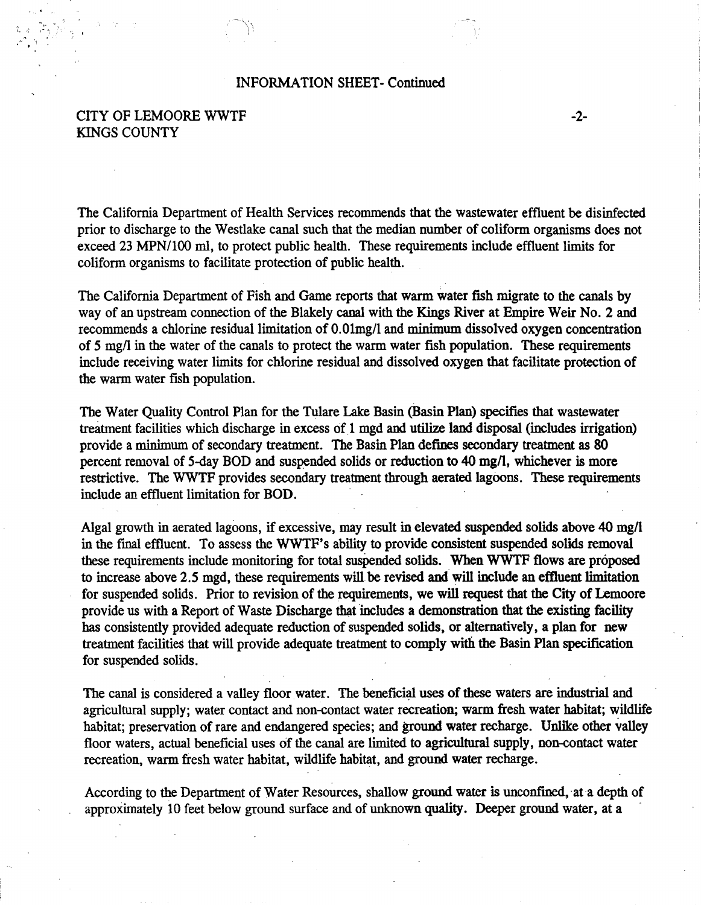### INFORMATION SHEET- Continued

# CITY OF LEMOORE WWTF KINGS COUNTY

The California Department of Health Services recommends that the wastewater effluent be disinfected prior to discharge to the Westlake canal such that the median number of coliform organisms does not exceed 23 MPN/100 ml, to protect public health. These requirements include effluent limits for coliform organisms to facilitate protection of public health.

-2-

The California Department of Fish and Game reports that warm water fish migrate to the canals by way of an upstream connection of the Blakely canal with the Kings River at Empire Weir No.2 and recommends a chlorine residual limitation of O.Olmg/1 and minimum dissolved oxygen concentration of 5 mg/1 in the water of the canals to protect the warm water fish population. These requirements include receiving water limits for chlorine residual and dissolved oxygen that facilitate protection of the warm water fish population.

The Water Quality Control Plan for the Tulare Lake Basin {Basin Plan) specifies that wastewater treatment facilities which discharge in excess of 1 mgd and utilize land disposal (includes irrigation) provide a minimum of secondary treatment. The Basin Plan defines secondary treatment as 80 percent removal of 5-day BOD and suspended solids or reduction to 40 mg/1, whichever is more restrictive. The WWTF provides secondary treatment through aerated lagoons. These requirements include an effluent limitation for BOD.

Algal growth in aerated lagoons, if excessive, may result in elevated suspended solids above 40 mg/1 in the final effluent. To assess the WWTF's ability to provide consistent suspended solids removal these requirements include monitoring for total suspended solids. When WWTF flows are proposed to increase above 2.5 mgd, these requirements will be revised and will include an effluent limitation for suspended solids. Prior to revision of the requirements, we will request that the City of Lemoore provide us with a Report of Waste Discharge that includes a demonstration that the existing facility has consistently provided adequate reduction of suspended solids, or alternatively, a plan for new treatment facilities that will provide adequate treatment to comply with the Basin Plan specification for suspended solids.

The canal is considered a valley floor water. The beneficial uses of these waters are industrial and agricultural supply; water contact and non-contact water recreation; warm fresh water habitat; wildlife habitat; preservation of rare and endangered species; and ground water recharge. Unlike other valley floor waters, actual beneficial uses of the canal are limited to agricultural supply, non-contact water recreation, warm fresh water habitat, wildlife habitat, and ground water recharge.

According to the Department of Water Resources, shallow ground water is unconfined, at a depth of approximately 10 feet below ground surface and of unknown quality. Deeper ground water, at a